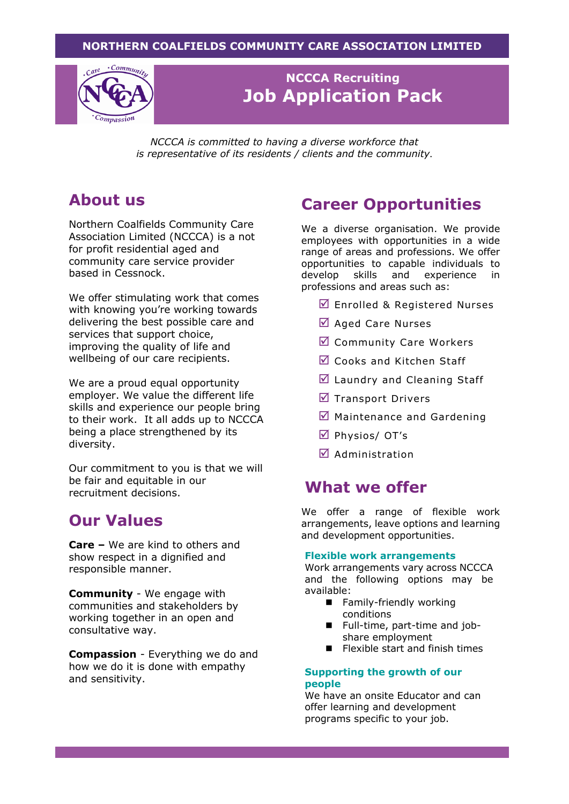### **NORTHERN COALFIELDS COMMUNITY CARE ASSOCIATION LIMITED**



### **NCCCA Recruiting Job Application Pack**

*NCCCA is committed to having a diverse workforce that is representative of its residents / clients and the community*.

## **About us**

Northern Coalfields Community Care Association Limited (NCCCA) is a not for profit residential aged and community care service provider based in Cessnock.

We offer stimulating work that comes with knowing you're working towards delivering the best possible care and services that support choice, improving the quality of life and wellbeing of our care recipients.

We are a proud equal opportunity employer. We value the different life skills and experience our people bring to their work. It all adds up to NCCCA being a place strengthened by its diversity.

Our commitment to you is that we will be fair and equitable in our recruitment decisions.

## **Our Values**

**Care –** We are kind to others and show respect in a dignified and responsible manner.

**Community** - We engage with communities and stakeholders by working together in an open and consultative way.

**Compassion** - Everything we do and how we do it is done with empathy and sensitivity.

## **Career Opportunities**

We a diverse organisation. We provide employees with opportunities in a wide range of areas and professions. We offer opportunities to capable individuals to develop skills and experience in professions and areas such as:

- $\boxed{}$  Enrolled & Registered Nurses
- $\boxtimes$  Aged Care Nurses
- Community Care Workers
- Cooks and Kitchen Staff
- Laundry and Cleaning Staff
- $\triangledown$  Transport Drivers
- $\boxtimes$  Maintenance and Gardening
- Physios/ OT's
- $\overline{\mathbf{A}}$  Administration

### **What we offer**

We offer a range of flexible work arrangements, leave options and learning and development opportunities.

#### **Flexible work arrangements**

Work arrangements vary across NCCCA and the following options may be available:

- Family-friendly working conditions
- Full-time, part-time and jobshare employment
- Flexible start and finish times

#### **Supporting the growth of our people**

We have an onsite Educator and can offer learning and development programs specific to your job.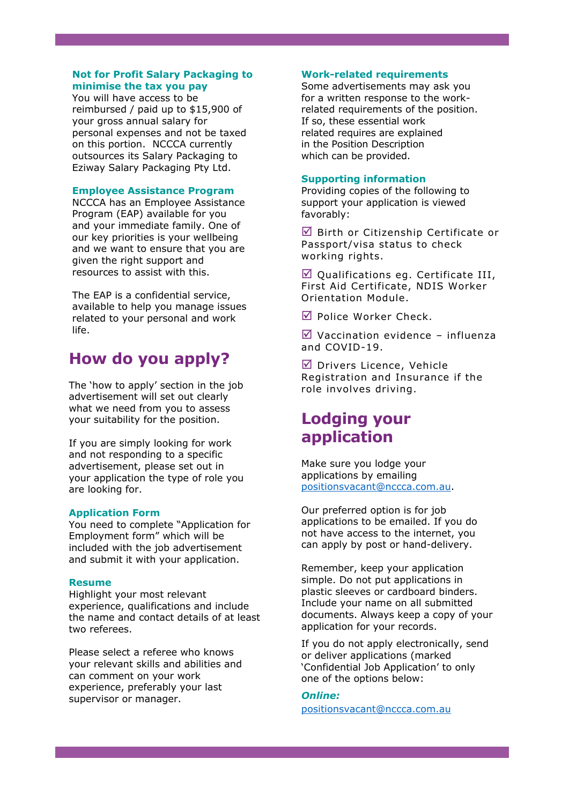#### **Not for Profit Salary Packaging to minimise the tax you pay**

You will have access to be reimbursed / paid up to \$15,900 of your gross annual salary for personal expenses and not be taxed on this portion. NCCCA currently outsources its Salary Packaging to Eziway Salary Packaging Pty Ltd.

#### **Employee Assistance Program**

NCCCA has an Employee Assistance Program (EAP) available for you and your immediate family. One of our key priorities is your wellbeing and we want to ensure that you are given the right support and resources to assist with this.

The EAP is a confidential service, available to help you manage issues related to your personal and work life.

## **How do you apply?**

The 'how to apply' section in the job advertisement will set out clearly what we need from you to assess your suitability for the position.

If you are simply looking for work and not responding to a specific advertisement, please set out in your application the type of role you are looking for.

#### **Application Form**

You need to complete "Application for Employment form" which will be included with the job advertisement and submit it with your application.

#### **Resume**

Highlight your most relevant experience, qualifications and include the name and contact details of at least two referees.

Please select a referee who knows your relevant skills and abilities and can comment on your work experience, preferably your last supervisor or manager.

#### **Work-related requirements**

Some advertisements may ask you for a written response to the workrelated requirements of the position. If so, these essential work related requires are explained in the Position Description which can be provided.

#### **Supporting information**

Providing copies of the following to support your application is viewed favorably:

 $\blacksquare$  Birth or Citizenship Certificate or Passport/visa status to check working rights.

 $\boxtimes$  Qualifications eg. Certificate III, First Aid Certificate, NDIS Worker Orientation Module.

■ Police Worker Check.

 $\triangledown$  Vaccination evidence – influenza and COVID-19.

 $\nabla$  Drivers Licence, Vehicle Registration and Insurance if the role involves driving.

## **Lodging your application**

Make sure you lodge your applications by emailing [positionsvacant@nccca.com.au.](mailto:positionsvacant@nccca.com.au)

Our preferred option is for job applications to be emailed. If you do not have access to the internet, you can apply by post or hand-delivery.

Remember, keep your application simple. Do not put applications in plastic sleeves or cardboard binders. Include your name on all submitted documents. Always keep a copy of your application for your records.

If you do not apply electronically, send or deliver applications (marked 'Confidential Job Application' to only one of the options below:

#### *Online:*

[positionsvacant@nccca.com.au](mailto:positionsvacant@nccca.com.au)